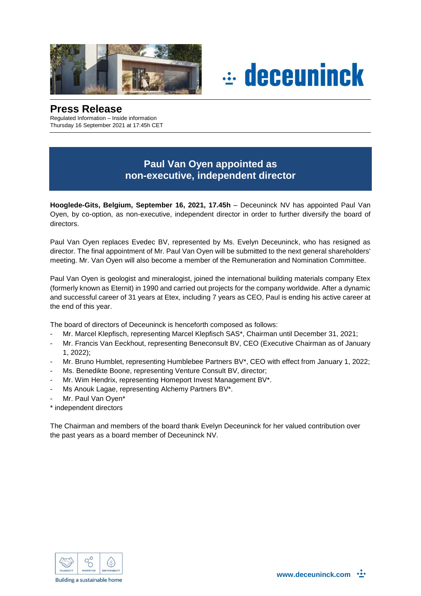



## **Press Release**

Regulated Information – Inside information Thursday 16 September 2021 at 17:45h CET

## **Paul Van Oyen appointed as non-executive, independent director**

**Hooglede-Gits, Belgium, September 16, 2021, 17.45h** – Deceuninck NV has appointed Paul Van Oyen, by co-option, as non-executive, independent director in order to further diversify the board of directors.

Paul Van Oyen replaces Evedec BV, represented by Ms. Evelyn Deceuninck, who has resigned as director. The final appointment of Mr. Paul Van Oyen will be submitted to the next general shareholders' meeting. Mr. Van Oyen will also become a member of the Remuneration and Nomination Committee.

Paul Van Oyen is geologist and mineralogist, joined the international building materials company Etex (formerly known as Eternit) in 1990 and carried out projects for the company worldwide. After a dynamic and successful career of 31 years at Etex, including 7 years as CEO, Paul is ending his active career at the end of this year.

The board of directors of Deceuninck is henceforth composed as follows:

- Mr. Marcel Klepfisch, representing Marcel Klepfisch SAS\*, Chairman until December 31, 2021;
- Mr. Francis Van Eeckhout, representing Beneconsult BV, CEO (Executive Chairman as of January 1, 2022);
- Mr. Bruno Humblet, representing Humblebee Partners BV\*, CEO with effect from January 1, 2022;
- Ms. Benedikte Boone, representing Venture Consult BV, director;
- Mr. Wim Hendrix, representing Homeport Invest Management BV\*.
- Ms Anouk Lagae, representing Alchemy Partners BV\*.
- Mr. Paul Van Oyen\*
- \* independent directors

The Chairman and members of the board thank Evelyn Deceuninck for her valued contribution over the past years as a board member of Deceuninck NV.